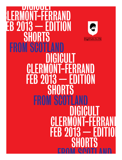# DIGICULT CLERMONT-FERRAND FEB 2013 — EDITION  $\sum_{i=1}^{\infty}$ **SH [DigiCult.Co.Uk](http://www.DigiCult.Co.Uk) SCO** DIGICULT CLERMONT-FERRAND FEB 2013 — EDITION SHORTS FROM SC DIGICULT CLERMONT-FERRAND FEB 2013 — EDITION SHORTS ERAM SCATLAND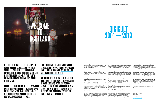The name DigiCult first appeared on the independent UK scene in 2001 — a short film strand funded by the UK Film Council in Scotland through the Glasgow Media Access Centre (GMAC).

Working with tiny resources, the project's founder producer Paul Welsh (Skeletons, Lore) worked with GMAC's core staff over five years, developing and producing over 25 shorts with budgets ranging from

£1k to £8K.

These shorts included a number of BAFTA Scotland winning films including Chris Waitt's comedy classic Dupe (2005) and Martin Smith's hard hitting

Tracks (2006).

Early in 2007 — as part of GMAC's general re-branding — the DigiCult short film strand was wound down before the name and original philosophy of the project was resurrected again in Autumn 2008 through a new independent company, set-up by Paul Welsh and partner producer David Smith (Shell).

Since DigiCult's relaunch — partnering successively with Scottish Screen, UK Film Council, BBC Scotland, Screen Hi, Glasgow Film Festival, Virgin Media Shorts and most importantly Creative Scotland — the company has established itself as one of the longest running and most successful independent talent development organisations in British film.

In the last four years, we have produced 15 multiaward winning live action, animation and documentary projects with new and emerging Scottish / UK talent. And all these films are featured in this publication.

Based predominantly in Scotland but working internationally, over the last twelve years the company's producers and numerous creative associates have developed and produced over 70 short, medium and feature length films, many of them prize-winners for first and second time filmmakers who continue to lightup the UK film industry. And here's just a few of them (and the shorts they've made with DigiCult):

Chris Waitt (Dupe), Johnny Barrington (Trawler), Martin Smith (Tracks), Zam Salim (Original Bob), Jessica Ashman (Fixing Luka), Stewart Comrie (Battenberg), Tom Chick (Death In A Nut), Zack Copping (Cotopaxi, Foxy and Marina), Gregor Johnstone (I'll Be Right Here, The Rule of Thumb), Ruth Paxton (Paris/ Sexy) and Michael Pearce (Rite).

BUT BEFORE YOU READ ON, HERE'S A SHORT history of the company — its work with new and emerging UK talent across animation, live action and documentary AND a statement of our commitment to narrative film which now extends to features as well as shorts.

Since DigiCult's first ground-breaking GMAC commissions, our films have been nominated (and sometimes won) BAFTA and BIFA awards, the Golden Bear (Berlin), EIFF's McLaren Animation Award and featured in numerous international competition selections for Best Live Action, Animation and Documentary Shorts (including Encounters, LSFF, Oberhausen, Uppsala, EIFF, Flickerfest).

In the last three years, there have been many individual awards for the talent involved in these films, agents and further commissions secured, fast-tracking careers in the industry at the highest level. Everything a quality short should deliver for new and emerging talent internationally.

Looking ahead — partnering with Hopscotch Films on Scottish Shorts 2013 — DigiCult continues to push emerging talent to deliver great stories for the screen. A new slate of live action and animated Scottish Shorts will be delivered summer 2013.

And with the ongoing support of Creative Scotland for DigiCult's Incubator Programme, the company is now developing a slate of features for the international market, including horror, comedy and straight ahead drama like only we can do.

With so much going on, it's definitely time to join the cult.

**Paul Welsh — Producer** January 2013

**Any questions?**  [Paul@DigiCult.Co.Uk](mailto:Paul@digicult.co.uk)

For the first time, DigiCult's complete award-winning catalogue of Scottish Shorts is available to international buyers. Our new distribution, sales and marketing pushbegins at this year's Clermont-Ferrand International Short Film Festival.

Inside the first edition of our new market paper, you will find information on many of the films we've made. fresh editions will coincide with major markets and festivals throughout the year.

Each edition will feature an expanding catalogue of new and classic shorts and features from Scotland. We are selling Scottish film to the world.



# DIGICULT 2001 — 2013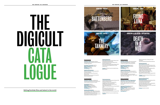**Battenberg (2010)**

**Animation / Horror:** Hidden inside an abandoned house a strange universe awaits an unsuspecting visitor.

**Developed / Produced by:** DigiCult **Writer / Director:** Stuart Comrie **Producer:** Anna Odell **Running time:** 12' 19"

**Awards and Nominations:** BAFTA Scotland New Talent Award 2010 for Best Animation Jim Poole Scottish Short Film Award Winner 2010 Nominated McLaren Award for Best New British Animation 2010

#### **Festivals (selection):**

Edinburgh International Film Festival 2010 Inverness Film Festival 2010 CFC Worldwide Short Film Festival 2010 Festiwal Animator 2010 Encounters International Film Festival 2010 Celluloid Screams Sheffield Horror Film Festival 2010

**Funders:** UK Film Council, Scottish Screen,

BBC Scotland

#### **ANIMATION / HORROR**

# BATTENBERG



DEATH

IN A

NUT

**Fixing Luka (2011)**

**Animation / Family:** Luka drives his sister mad performing obsessive, nonsensical routines with sugar cubes and thimbles.

**Developed / Produced by:** DigiCult **Writer / Director:** Jessica Ashman

**Producer:** Anna Odell **Running time:** 11' 20"

#### **Awards and Nominations:**

BAFTA Scotland New Talent Awards 2011 / Winner for 'Best Original Score', Nominated for 'Best Animation' London Limelight Film & Arts Awards / Nominated for 'Best Animation', 'Best Visual', 'Best Film of the Night'

#### BAFTA Scotland 2011 / Winner for 'Best Animation'

Van D'Or Awards 2012, Best Film & Director

#### **Festivals (selection):**

Alcine Festival de Cine 2012 Eberwalde International Film Festival 2012 Indian International Disability Festival 2012 Warsaw Film Festival 2012 FiC BUEU International Film Festival 2012 London Short Film Festival 2012 Glasgow Short Film Festival 2012 Flatpack Festival, Birmingham 2012 Alta Langa Film Festival 2012 Saguenay International Puppet Festival 2012

**Funders:** Creative Scotland, UK Film Council and BBC Scotland

# THe DIGICULT CATA LUGUE<br>L

#### **The Tannery (2010)**

**Animation / Fantasy:** A recently-shot fox discovers the horrors of the Tannery as a hunter prepares his pelt for market.

**Developed by** DigiCult / **Produced by** Axis Animation **Writer / Director:** Iain Gardner **Producer:** Anke Hilt, Richard Scott **Running time:** 5' 50"



**Awards and Nominations:** Best Animation, Celtic Media Festival 2011 Animated Exteter 2011, Winner of Audience Award & 2nd Prize Screen Out Loud Edinburgh International Film Festival 2010, nominated for the McLaren Award

#### **Festivals (selection):**

#### London International Animation Festival 2012 Festiwal Animator 2012

Cinequest 21 Short Film Festival 2011 Glasgow Short Film Festival 2011 2D OR NOT 2D Animation Festival 2011 Foyle Film Festival 2010 Tehran 27th International Short Film Festival 2010

Encounters Film Festival 2010 New York Eurasian Film Festival 2010 Inverness Film Festival 2010 Ottawa International Animation Festival 2010

**Funders:** UK Film Council, Scottish Screen, Channel 4

#### **Death in a Nut (2012)**

#### **Animation & Live Action / Supernatural:**

When Death comes to take Jack's dying mother away, Jack beats him till he is small enough to be put in a nut and thrown out to sea.

#### **Developed / Produced by:** DigiCult

**Writer / Director:** Tom Chick **Producer:** Philippa Farnese, Paul Welsh **Cast:** James Anthony Pearson, Kathryn Howden, Tam Dean Burn **Running time:** 16'

#### **Awards and Nominations / Festivals (selection):**

Edinburgh International Film Festival 2012, nominated for Best British Short Inverness Film Festival 2012 Shnit Shortfilmfestival 2012, nominated for Best Short Film Under 20 minutes Glasgow Short Film Festival 2013, nominated for Best Scottish Short

**Funders:** Creative Scotland

**Selling Scottish film and talent to the world**

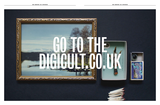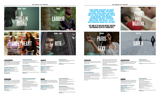#### **Paris/Sexy (2010)**

**Horror:** Greer's dull, drab life is set to change when the impossibly glamorous Francoise and

Seamus arrive.

**Developed / Produced by:** DigiCult

### **Writer / Director**: Ruth Paxton

**Producer:** Rosie Crerar, Paul Welsh **Cast:** Kim Chapman, Finbar Furey, Martin Compston, Elisa Lawoski **Running time:** 23'

#### **Awards and Nominations:**

London Short Film Festival 2011, Winner of UK Film Council Best British Short Film Encounters International Film Festival 2010, Nominated for Best of British & Encounters

Grand Prix Prize

Uppsala International Short Film Festival 2010, Nominated for International Grand

Prix Prize

Xiith WT OS International Film Festival 2010, Nominated for Best in Show Prize Festival International Du Court Metrages 2010, Nominated for Short Fiction Competition Edinburgh International Film Festival

2010, Nominated for Best British Short Film

#### **Festivals (selection):** Gimli Film Festival 2012

Odense International Film Festival 2012 Litchtspielklub Kurs Film Festival 2011 Reggio Film Festival 2010 Inverness Film Festival 2010 Shortini International Short Film Festival 2010 Dresden International Short Film Festival 2010

**Funders:** UK Film Council, Scottish Screen

SAVED

#### JESSICA ASHMAN, CIARA BARRY, KATE BURTON, TOM CHICK, STUART COMRIE, ZACK COPPING, ROSIE CRERAR, PHILIPPA FARNESE, IAIN GARDNER, ANKE HILT, GREGOR JOHNSTONE, MICHAEL KEILLOR, CATRIONA MACINNES, ADRIAN MACDOWELL, ROSS MCKENZIE, ANNA ODELL, RUTH PAXTON, MICHAEL PEARCE, FINLAY PRETSELL, EVA RILEY, MARTYN ROBERTSON, RICHARD SCOTT, DEVA SMITH.

### JUST SOME OF THE BRILLIANT WRITING, DIRECTING AND PRODUCING TALENT WE'VE WORKED WITH.



**Romance:** A young boy from Skye flirts with the idea of giving up heroin and returning home to the islands. But then he meets Marina.

**Developed / Produced by:** DigiCult **Writer / Director:** Zack Copping **Producer:** Philippa Farnese, Paul Welsh **Cast:** Pollyanna McIntosh, Lorne MacFadyen, Mark Oliver **Running time:** 24' 21"

#### **Festivals (selection):**



Inverness Film Festival 2012 Glasgow Short Film Festival 2013

**Funders:** Creative Scotland, UK Film Council

#### **Saved (2011)**

**Thriller:** A highly lethal virus is spreading across the globe to devastating effect, seen through the eyes of an 11-year old girl in a small community in Scotland.

**Developed by DigiCult / Produced by:** Capricorn Films

**Writer / Director:** Stuart Elliott **Producer:** Suzanne Reid **Cast:** Megan Fraser, Bailey Newsome, Eric Robertson **Running time:** 11' 34"

#### **Festivals (selection):** Sao Paulo International Short Film Festival 2012 Inverness Film Festival 2012 Lanterna Film Festival 2012 Encounters Short Film Festival 2011 Sitges Film Festival 2011 Glasgow Short Film Festival 2011 Aguilar de Campoo International Film Festival 2011

Bangladesh Short Film Forum

**Funders:** UK Film Council, Creative Scotland, BBC Scotland

#### **A Cuillin Rising (2011)**

**Drama / Family:** In an old caravan on the Isle of Skye, teenage lovers Sorley and Maggie spend time together awkwardly, stalked by the haunting presence of Sorley's father, Hector.

**Developed / Produced by:** DigiCult in association with Urbancroft **Writer / Director:** Catriona MacInnes **Producer:** Martyn Robertson **Cast:** Lorne MacFadyen, Annie Macleod, Robin Thomson **Running time:** 20'

#### **Awards and Nominations:** London Short Film Festival 2012, British

Council Best New Short Nomination Underwire Film Festival 2012, Winner of Best Cinematography

#### **Festivals (selection):**

Seattle International Film Festival 2013 Nashville Film Festival 2012 Glasgow Short Film Festival 2012 Inverness Film Festival 2011 55th BFI London Film Festival 2011

**Funders:** UK Film Council, Creative Scotland, BBC Scotland

#### **Labour (2010)**

**Drama:** The fear of getting old and the world losing its infinite possibilities grows every day for Henry, a young man working in an old people's home.

**Developed / Produced by:** DigiCult **Writer:** Kenneth MacLeod **Director:** Michael Keillor **Producer:** Pete Thornton **Cast:** Michael Sorcha, Alex Howden, Lauren Lamarr **Running time:** 15'

#### **Festivals (selection):**

Edinburgh International Film Festival 2010 Inverness Film Festival 2010

**Funders:** UK Film Council, Scottish Screen, BBC Scotland

#### **Sweetheart (2012)**

**Drama / Family:** Lou has Down's Syndrome and lives with her controlling sister Ashley. When a new man comes into their lives, the sisters become bitter rivals for his love.

**Developed/Produced by:** DigiCult **Writer / Director:** Eva Riley **Producer:** Philippa Farnese, Paul Welsh **Cast:** Jo Eastwood, Nicola Jo Cully, Iain Lowden **Running time:** 15' 17"

#### **Nominations / Festivals (selection):** Slamdance Film Festival 2013 (in competition)

London Short Film Festival 2013 Cinecity Film Festival, Brighton, 2012 Inverness Film Festival 2012 Message to Man Festival, St Petersberg 2012 Ozu Film Festival 2012 (in competition) Underwire Film Festival 2012, nominated Best Director Award

**Funder:** Creative Scotland





RITE



#### **Rite (2010)**

**Drama / Family:** Rite is a portrait of a man on the edge. Alcoholic and estranged father Mike is determined to make his son's birthday a day he'll never forget.

**Developed / Produced by**: DigiCult **Writer / Director:** Michael Pearce **Producer:** Ross McKenzie, Paul Welsh **Cast:** Bradley Hall, Martin Herdman **Running time:** 17'

#### **Awards and Nominations:**

Best Director Award, Lille Festival of European Cinema 2012 Winner of Long Form Award, Rushes Soho Short Film Festival 2011 BAFTA Best Short Film nomination 2011 BIFA Best British Short nomination 2011

#### **Festivals (selection):**

Future Shorts Festival 2012 MIX Copenhagen LGBT Film Festival 2012 Tampere International Short Film Festival 2011 (in competition)

**Funders:** UK Film Council New Cinema Fund, Film London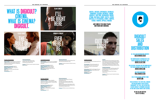#### **Cutting Loose (2011)**

"I'm trusted with a pair of scissors and I'm in here for murder".

**Documentary:** A fascinating snapshot of prison life in the build-up to the annual Scottish Prison Service hairdressing

competition.

**Produced by:** DigiCult and Imagine Pictures **Director / Producers:** Adrian MacDowall, **Producer:** Paul Welsh

Finlay Pretsell **Running time:** 30' **Awards:**

Winner Best Short Documentary, Encounters Film Festival 2012 Winner Best Matter of Fact Film, Indianapolis Film Festival 2012 Winner

#### Grand Prix, Asterfest 2012 Winner for Best Documentary, Flickerfest 2012 Winner Jury Prize, Best Short Documentary, Riverrun 2012

**Festivals (selection):** DocuWeeks 2012 (New York) Encounters 2012 Hotdocs 2012 (in competition) SXSW 2012 (in competition) Rimouski International Youth Cinema

Festival 2012 **Funders:** UK Film Council, Creative Scotland, BBC Scotland



#### **The Rule of Thumb (2011)**

**Black Comedy:** Reclusive Barrow's attempt to engage with the world outside and become a fully formed adult leads him to a disastrous day at the local school.

**Developed / Produced by:** DigiCult **Writer / Director:** Gregor Johnstone **Producer:** Deva Smith **Cast:** Richard Dormer, Stella McCusker, Gary Lewis **Running time:** 18' 33"

**Festivals (selection):** London Short Film Festival 2012 Glasgow Short Film Festival 2012 Inverness Film Festival 2011

## WHAT IS DIGICULT? CINEMA. WHAT IS CINEMA? DIGICULT.

**Funders:** UK Film Council, Creative Scotland, BBC Scotland

#### JUST SOME OF THE GREAT PLACES **OUR FILMS HAVE SCREENED.**

**I'll Be Right Here (2010)**

### DigiCult SAL **AND** DIS<sup>®</sup>

**Black Comedy:** In a hotel room in Los Angeles, John Moffat prepares to meet his idol Steven Spielberg.

**Developed / Produced by:** DigiCult **Writer / Director:** Gregor Johnstone **Producers:** Ciara Barry, Deva Smith **Cast:** Angus MacInnes, Stephen McCole **Running time:** 17' 56"

> WE GET GREAT ONLINE SUPPORT FROM [distrify.com](http://www.distrify.com)

#### **Festivals (selection):**

FRESH EDITIONS OF THE PAPER WITH MAJOR MARKETS AND FESTIVALS throughout the year. Each edition will feature DigiCult's expanding catalogue of new and classic shorts and features.

> WE ARE SELLING SCOTTISH film to the world.

Edinburgh International Film Festival 2010 Jim Poole Award Nominee, 2010

**Funders:** Creative Scotland, UK Film Council, BBC Scotland

#### **Ever Here I Be (2010)**

**Romantic Comedy:** Valerie, a hopeless waitress, and Jason, a melancholy neon sign maker, are on separate paths. Can fate bring them back together?

**Developed / Produced by:** DigiCult **Writer / Director:** Kate Burton **Producer:** Philippa Farnese **Cast:** Tuppence Middleton, Christopher Simpson **Running time:** 15' 52"

**Festivals (selection):** London Short Film Festival 'Femmes Fantastiques' 2012 Portobello Film Festival, London 2011 Palm Springs International Short Film Festival 2011 Nashville International Film Festival 2011 Edinburgh International Film Festival 2010 Inverness Film Festival 2010

**Funders:** UK Film Council, Scottish Screen









#### BRISTOL, DRESDEN, COPENHAGEN, EBERWALDE, EDINBURGH, GLASGOW, INVERNESS, LONDON, NASHVILLE, NEW YORK, OBERHAUSEN, ODENSE, OTTAWA, SAO PAULO, SCHNIT, SEATTLE, SITGES, I, ST PETERSBERG, SYDNEY, TAMPERE TEHRAN, TORONTO, UPPSALA, WARSAW.

All Sales and distribution Enquiries [sales@digicult.co.uk](mailto:sales@digicult.co.uk)

For comprehensive information on the films featured in this edition, visit [digicult.co.uk/films](http://www.digicult.co.uk/films)

#### For exclusive previews and VOD downloads of the films featured in this edition, visit [digicult.muvies.com](http://www.digicult.muvies.com)

Any other questions? [paul@digicult.co.uk](mailto:paul@digicult.co.uk)